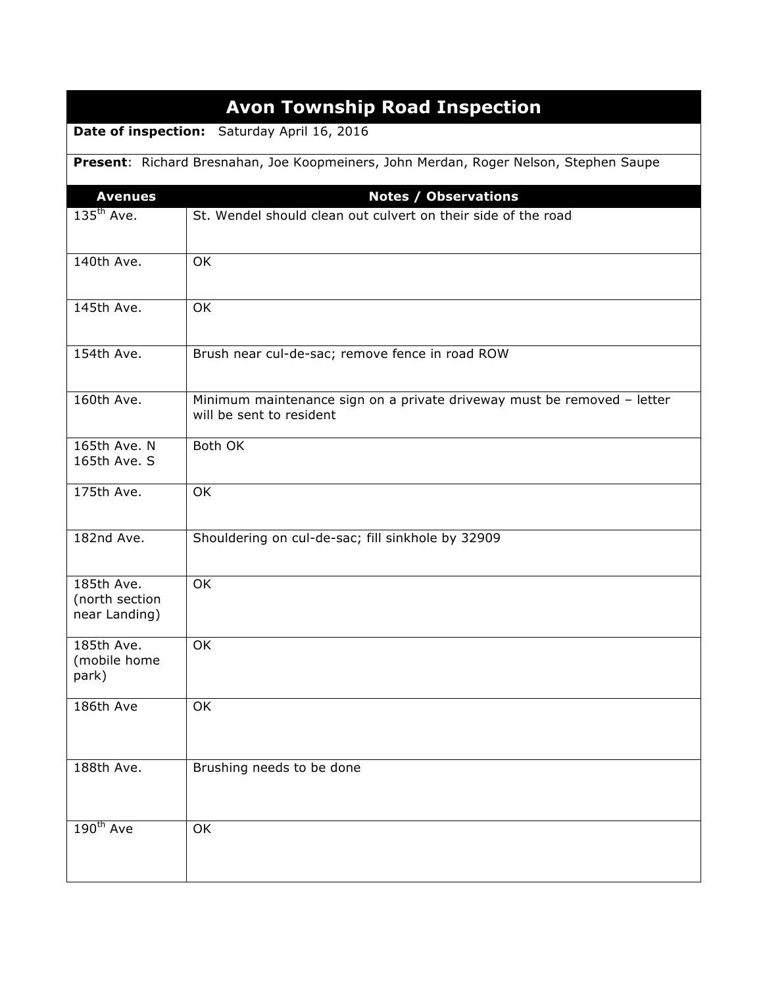|                                                                                       | <b>Avon Township Road Inspection</b>                                                                |  |
|---------------------------------------------------------------------------------------|-----------------------------------------------------------------------------------------------------|--|
| Date of inspection:<br>Saturday April 16, 2016                                        |                                                                                                     |  |
| Present: Richard Bresnahan, Joe Koopmeiners, John Merdan, Roger Nelson, Stephen Saupe |                                                                                                     |  |
| <b>Avenues</b>                                                                        | <b>Notes / Observations</b>                                                                         |  |
| $135th$ Ave.                                                                          | St. Wendel should clean out culvert on their side of the road                                       |  |
|                                                                                       |                                                                                                     |  |
| 140th Ave.                                                                            | OK                                                                                                  |  |
| 145th Ave.                                                                            | OK                                                                                                  |  |
| 154th Ave.                                                                            | Brush near cul-de-sac; remove fence in road ROW                                                     |  |
| 160th Ave.                                                                            | Minimum maintenance sign on a private driveway must be removed - letter<br>will be sent to resident |  |
| 165th Ave. N<br>165th Ave. S                                                          | Both OK                                                                                             |  |
|                                                                                       |                                                                                                     |  |
| 175th Ave.                                                                            | OK                                                                                                  |  |
| 182nd Ave.                                                                            | Shouldering on cul-de-sac; fill sinkhole by 32909                                                   |  |
| 185th Ave.                                                                            | <b>OK</b>                                                                                           |  |
| (north section<br>near Landing)                                                       |                                                                                                     |  |
| 185th Ave.                                                                            | OK                                                                                                  |  |
| (mobile home<br>park)                                                                 |                                                                                                     |  |
| 186th Ave                                                                             | OK                                                                                                  |  |
|                                                                                       |                                                                                                     |  |
| 188th Ave.                                                                            | Brushing needs to be done                                                                           |  |
| 190 <sup>th</sup> Ave                                                                 | OK                                                                                                  |  |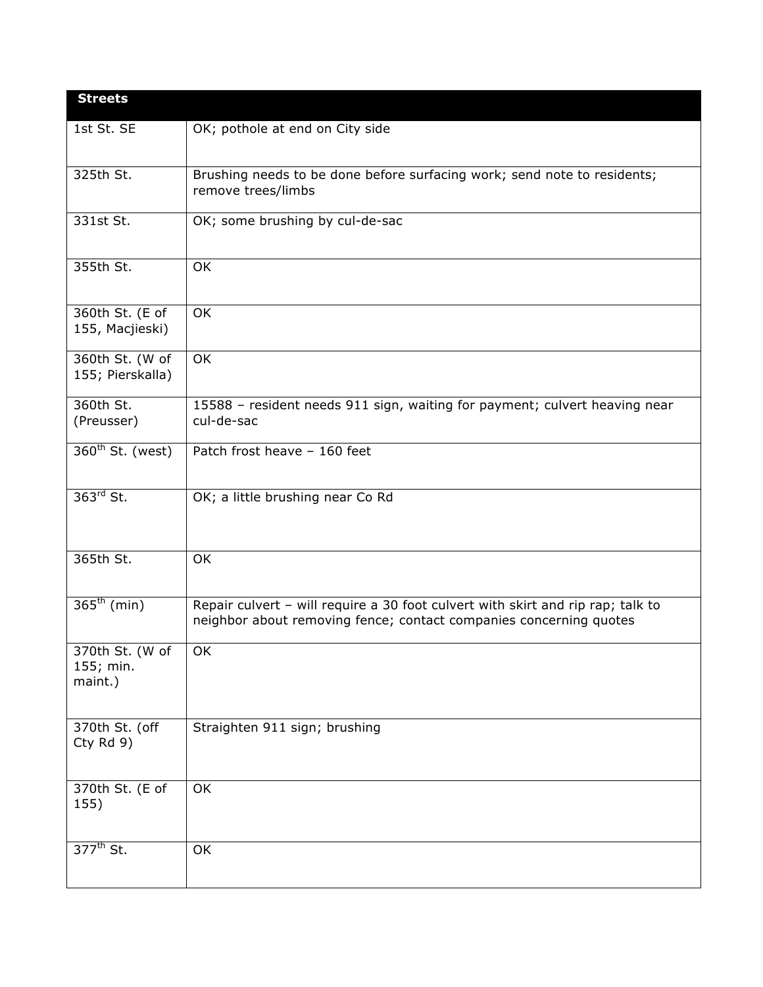| <b>Streets</b>                          |                                                                                                                                                       |  |
|-----------------------------------------|-------------------------------------------------------------------------------------------------------------------------------------------------------|--|
| 1st St. SE                              | OK; pothole at end on City side                                                                                                                       |  |
| 325th St.                               | Brushing needs to be done before surfacing work; send note to residents;<br>remove trees/limbs                                                        |  |
| 331st St.                               | OK; some brushing by cul-de-sac                                                                                                                       |  |
| 355th St.                               | OK                                                                                                                                                    |  |
| 360th St. (E of<br>155, Macjieski)      | OK                                                                                                                                                    |  |
| 360th St. (W of<br>155; Pierskalla)     | OK                                                                                                                                                    |  |
| 360th St.<br>(Preusser)                 | 15588 - resident needs 911 sign, waiting for payment; culvert heaving near<br>cul-de-sac                                                              |  |
| 360 <sup>th</sup> St. (west)            | Patch frost heave - 160 feet                                                                                                                          |  |
| $363rd$ St.                             | OK; a little brushing near Co Rd                                                                                                                      |  |
| 365th St.                               | OK                                                                                                                                                    |  |
| $\overline{365}^{\text{th}}$ (min)      | Repair culvert - will require a 30 foot culvert with skirt and rip rap; talk to<br>neighbor about removing fence; contact companies concerning quotes |  |
| 370th St. (W of<br>155; min.<br>maint.) | OK                                                                                                                                                    |  |
| 370th St. (off<br>Cty $Rd$ 9)           | Straighten 911 sign; brushing                                                                                                                         |  |
| 370th St. (E of<br>155)                 | OK                                                                                                                                                    |  |
| 377 <sup>th</sup> St.                   | OK                                                                                                                                                    |  |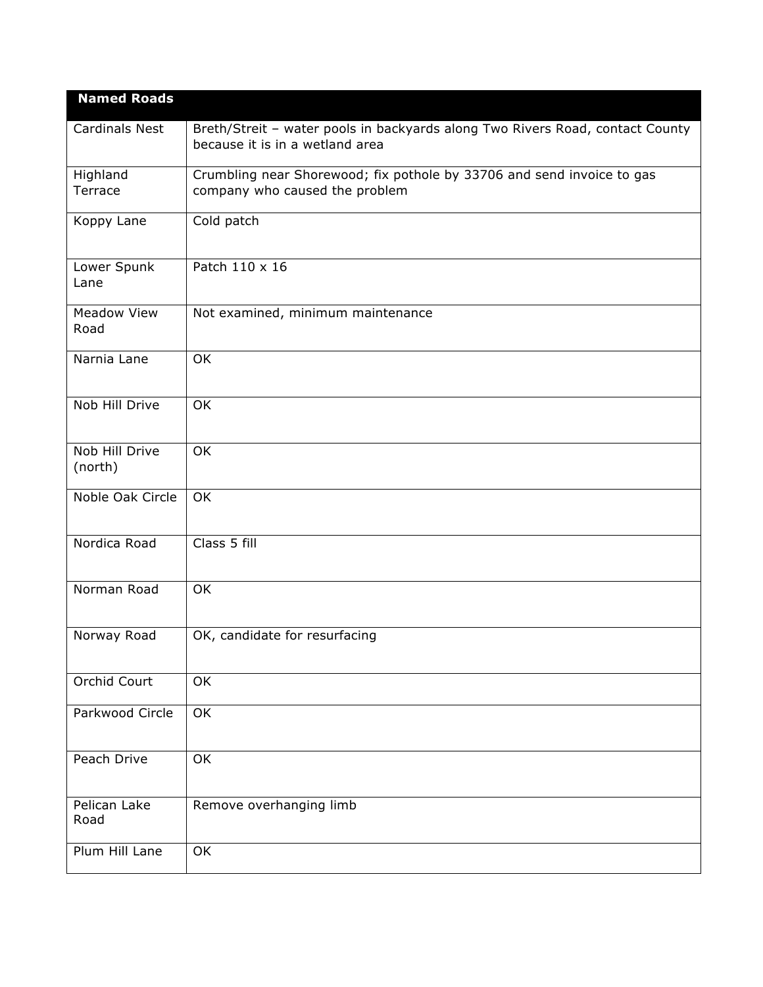| <b>Named Roads</b>         |                                                                                                                  |
|----------------------------|------------------------------------------------------------------------------------------------------------------|
| <b>Cardinals Nest</b>      | Breth/Streit - water pools in backyards along Two Rivers Road, contact County<br>because it is in a wetland area |
| Highland<br>Terrace        | Crumbling near Shorewood; fix pothole by 33706 and send invoice to gas<br>company who caused the problem         |
| Koppy Lane                 | Cold patch                                                                                                       |
| Lower Spunk<br>Lane        | Patch 110 x 16                                                                                                   |
| <b>Meadow View</b><br>Road | Not examined, minimum maintenance                                                                                |
| Narnia Lane                | OK                                                                                                               |
| Nob Hill Drive             | OK                                                                                                               |
| Nob Hill Drive<br>(north)  | OK                                                                                                               |
| Noble Oak Circle           | OK                                                                                                               |
| Nordica Road               | Class 5 fill                                                                                                     |
| Norman Road                | OK                                                                                                               |
| Norway Road                | OK, candidate for resurfacing                                                                                    |
| Orchid Court               | $\overline{OK}$                                                                                                  |
| Parkwood Circle            | OK                                                                                                               |
| Peach Drive                | OK                                                                                                               |
| Pelican Lake<br>Road       | Remove overhanging limb                                                                                          |
| Plum Hill Lane             | OK                                                                                                               |